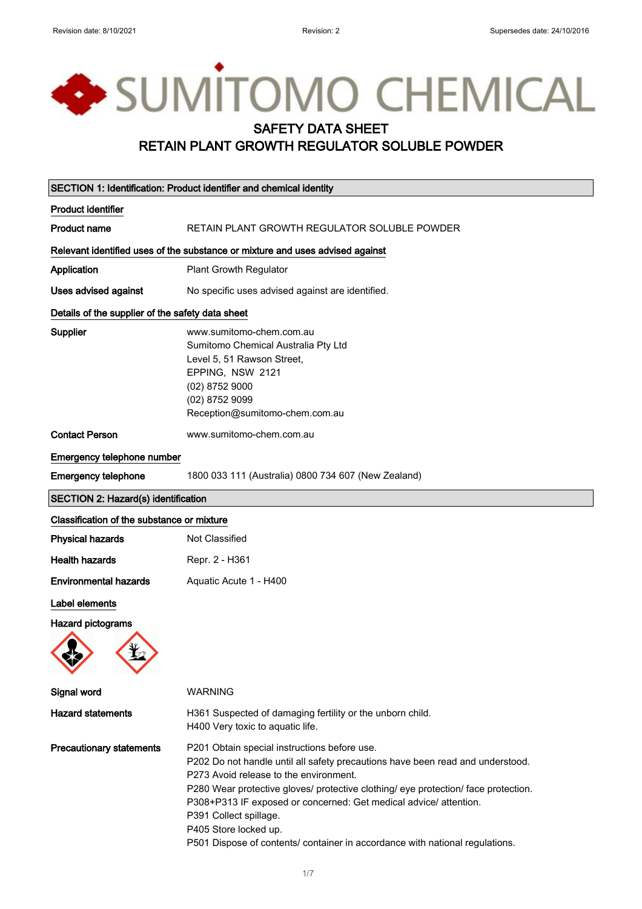# SUMITOMO CHEMICAL SAFETY DATA SHEET RETAIN PLANT GROWTH REGULATOR SOLUBLE POWDER

| SECTION 1: Identification: Product identifier and chemical identity |                                                                                                                                                                                                                                                                                                                                                                                                                                                                        |
|---------------------------------------------------------------------|------------------------------------------------------------------------------------------------------------------------------------------------------------------------------------------------------------------------------------------------------------------------------------------------------------------------------------------------------------------------------------------------------------------------------------------------------------------------|
| <b>Product identifier</b>                                           |                                                                                                                                                                                                                                                                                                                                                                                                                                                                        |
| <b>Product name</b>                                                 | RETAIN PLANT GROWTH REGULATOR SOLUBLE POWDER                                                                                                                                                                                                                                                                                                                                                                                                                           |
|                                                                     | Relevant identified uses of the substance or mixture and uses advised against                                                                                                                                                                                                                                                                                                                                                                                          |
| Application                                                         | <b>Plant Growth Regulator</b>                                                                                                                                                                                                                                                                                                                                                                                                                                          |
| Uses advised against                                                | No specific uses advised against are identified.                                                                                                                                                                                                                                                                                                                                                                                                                       |
| Details of the supplier of the safety data sheet                    |                                                                                                                                                                                                                                                                                                                                                                                                                                                                        |
| <b>Supplier</b>                                                     | www.sumitomo-chem.com.au<br>Sumitomo Chemical Australia Pty Ltd<br>Level 5, 51 Rawson Street,<br>EPPING, NSW 2121<br>(02) 8752 9000<br>(02) 8752 9099<br>Reception@sumitomo-chem.com.au                                                                                                                                                                                                                                                                                |
| <b>Contact Person</b>                                               | www.sumitomo-chem.com.au                                                                                                                                                                                                                                                                                                                                                                                                                                               |
| Emergency telephone number                                          |                                                                                                                                                                                                                                                                                                                                                                                                                                                                        |
| <b>Emergency telephone</b>                                          | 1800 033 111 (Australia) 0800 734 607 (New Zealand)                                                                                                                                                                                                                                                                                                                                                                                                                    |
| <b>SECTION 2: Hazard(s) identification</b>                          |                                                                                                                                                                                                                                                                                                                                                                                                                                                                        |
| Classification of the substance or mixture                          |                                                                                                                                                                                                                                                                                                                                                                                                                                                                        |
| <b>Physical hazards</b>                                             | Not Classified                                                                                                                                                                                                                                                                                                                                                                                                                                                         |
| <b>Health hazards</b>                                               | Repr. 2 - H361                                                                                                                                                                                                                                                                                                                                                                                                                                                         |
| <b>Environmental hazards</b>                                        | Aquatic Acute 1 - H400                                                                                                                                                                                                                                                                                                                                                                                                                                                 |
| Label elements                                                      |                                                                                                                                                                                                                                                                                                                                                                                                                                                                        |
| <b>Hazard pictograms</b>                                            |                                                                                                                                                                                                                                                                                                                                                                                                                                                                        |
| Signal word                                                         | <b>WARNING</b>                                                                                                                                                                                                                                                                                                                                                                                                                                                         |
| <b>Hazard statements</b>                                            | H361 Suspected of damaging fertility or the unborn child.<br>H400 Very toxic to aquatic life.                                                                                                                                                                                                                                                                                                                                                                          |
| <b>Precautionary statements</b>                                     | P201 Obtain special instructions before use.<br>P202 Do not handle until all safety precautions have been read and understood.<br>P273 Avoid release to the environment.<br>P280 Wear protective gloves/ protective clothing/ eye protection/ face protection.<br>P308+P313 IF exposed or concerned: Get medical advice/ attention.<br>P391 Collect spillage.<br>P405 Store locked up.<br>P501 Dispose of contents/ container in accordance with national regulations. |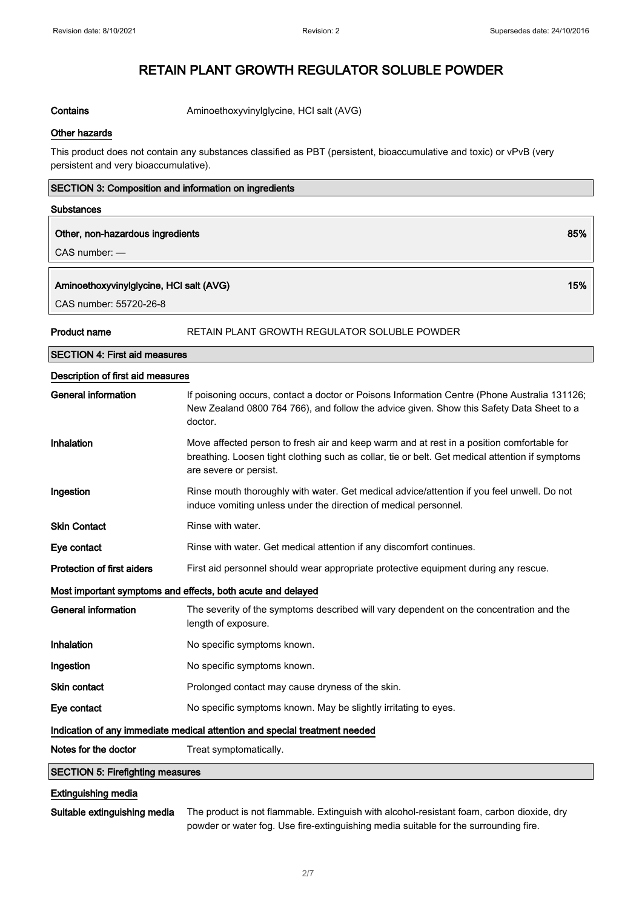Contains **Contains** Aminoethoxyvinylglycine, HCl salt (AVG)

#### Other hazards

This product does not contain any substances classified as PBT (persistent, bioaccumulative and toxic) or vPvB (very persistent and very bioaccumulative).

| <b>SECTION 3: Composition and information on ingredients</b>               |                                                                                                                                                                                                                        |  |
|----------------------------------------------------------------------------|------------------------------------------------------------------------------------------------------------------------------------------------------------------------------------------------------------------------|--|
| <b>Substances</b>                                                          |                                                                                                                                                                                                                        |  |
| 85%<br>Other, non-hazardous ingredients<br>CAS number: -                   |                                                                                                                                                                                                                        |  |
| 15%<br>Aminoethoxyvinylglycine, HCI salt (AVG)<br>CAS number: 55720-26-8   |                                                                                                                                                                                                                        |  |
| <b>Product name</b>                                                        | RETAIN PLANT GROWTH REGULATOR SOLUBLE POWDER                                                                                                                                                                           |  |
| <b>SECTION 4: First aid measures</b>                                       |                                                                                                                                                                                                                        |  |
| Description of first aid measures                                          |                                                                                                                                                                                                                        |  |
| <b>General information</b>                                                 | If poisoning occurs, contact a doctor or Poisons Information Centre (Phone Australia 131126;<br>New Zealand 0800 764 766), and follow the advice given. Show this Safety Data Sheet to a<br>doctor.                    |  |
| Inhalation                                                                 | Move affected person to fresh air and keep warm and at rest in a position comfortable for<br>breathing. Loosen tight clothing such as collar, tie or belt. Get medical attention if symptoms<br>are severe or persist. |  |
| Ingestion                                                                  | Rinse mouth thoroughly with water. Get medical advice/attention if you feel unwell. Do not<br>induce vomiting unless under the direction of medical personnel.                                                         |  |
| <b>Skin Contact</b>                                                        | Rinse with water.                                                                                                                                                                                                      |  |
| Eye contact                                                                | Rinse with water. Get medical attention if any discomfort continues.                                                                                                                                                   |  |
| <b>Protection of first aiders</b>                                          | First aid personnel should wear appropriate protective equipment during any rescue.                                                                                                                                    |  |
|                                                                            | Most important symptoms and effects, both acute and delayed                                                                                                                                                            |  |
| <b>General information</b>                                                 | The severity of the symptoms described will vary dependent on the concentration and the<br>length of exposure.                                                                                                         |  |
| <b>Inhalation</b>                                                          | No specific symptoms known.                                                                                                                                                                                            |  |
| Ingestion                                                                  | No specific symptoms known.                                                                                                                                                                                            |  |
| <b>Skin contact</b>                                                        | Prolonged contact may cause dryness of the skin.                                                                                                                                                                       |  |
| Eye contact                                                                | No specific symptoms known. May be slightly irritating to eyes.                                                                                                                                                        |  |
| Indication of any immediate medical attention and special treatment needed |                                                                                                                                                                                                                        |  |
| Notes for the doctor                                                       | Treat symptomatically.                                                                                                                                                                                                 |  |
| <b>SECTION 5: Firefighting measures</b>                                    |                                                                                                                                                                                                                        |  |

## Extinguishing media

Suitable extinguishing media The product is not flammable. Extinguish with alcohol-resistant foam, carbon dioxide, dry powder or water fog. Use fire-extinguishing media suitable for the surrounding fire.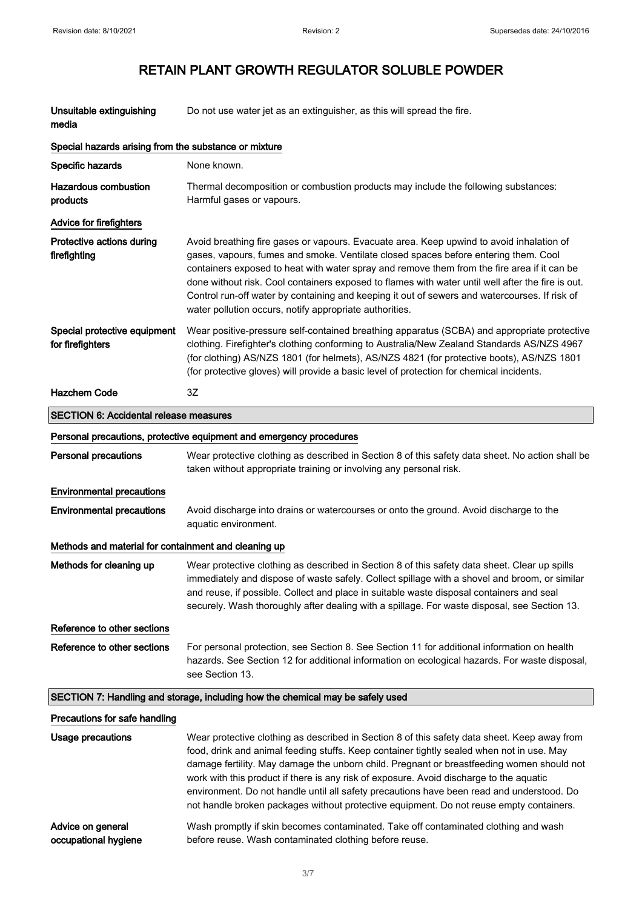| Unsuitable extinguishing<br>media                     | Do not use water jet as an extinguisher, as this will spread the fire.                                                                                                                                                                                                                                                                                                                                                                                                                                                                                                    |  |  |
|-------------------------------------------------------|---------------------------------------------------------------------------------------------------------------------------------------------------------------------------------------------------------------------------------------------------------------------------------------------------------------------------------------------------------------------------------------------------------------------------------------------------------------------------------------------------------------------------------------------------------------------------|--|--|
| Special hazards arising from the substance or mixture |                                                                                                                                                                                                                                                                                                                                                                                                                                                                                                                                                                           |  |  |
| Specific hazards                                      | None known.                                                                                                                                                                                                                                                                                                                                                                                                                                                                                                                                                               |  |  |
| <b>Hazardous combustion</b><br>products               | Thermal decomposition or combustion products may include the following substances:<br>Harmful gases or vapours.                                                                                                                                                                                                                                                                                                                                                                                                                                                           |  |  |
| <b>Advice for firefighters</b>                        |                                                                                                                                                                                                                                                                                                                                                                                                                                                                                                                                                                           |  |  |
| Protective actions during<br>firefighting             | Avoid breathing fire gases or vapours. Evacuate area. Keep upwind to avoid inhalation of<br>gases, vapours, fumes and smoke. Ventilate closed spaces before entering them. Cool<br>containers exposed to heat with water spray and remove them from the fire area if it can be<br>done without risk. Cool containers exposed to flames with water until well after the fire is out.<br>Control run-off water by containing and keeping it out of sewers and watercourses. If risk of<br>water pollution occurs, notify appropriate authorities.                           |  |  |
| Special protective equipment<br>for firefighters      | Wear positive-pressure self-contained breathing apparatus (SCBA) and appropriate protective<br>clothing. Firefighter's clothing conforming to Australia/New Zealand Standards AS/NZS 4967<br>(for clothing) AS/NZS 1801 (for helmets), AS/NZS 4821 (for protective boots), AS/NZS 1801<br>(for protective gloves) will provide a basic level of protection for chemical incidents.                                                                                                                                                                                        |  |  |
| <b>Hazchem Code</b>                                   | 3Z                                                                                                                                                                                                                                                                                                                                                                                                                                                                                                                                                                        |  |  |
| <b>SECTION 6: Accidental release measures</b>         |                                                                                                                                                                                                                                                                                                                                                                                                                                                                                                                                                                           |  |  |
|                                                       | Personal precautions, protective equipment and emergency procedures                                                                                                                                                                                                                                                                                                                                                                                                                                                                                                       |  |  |
| Personal precautions                                  | Wear protective clothing as described in Section 8 of this safety data sheet. No action shall be<br>taken without appropriate training or involving any personal risk.                                                                                                                                                                                                                                                                                                                                                                                                    |  |  |
| <b>Environmental precautions</b>                      |                                                                                                                                                                                                                                                                                                                                                                                                                                                                                                                                                                           |  |  |
| <b>Environmental precautions</b>                      | Avoid discharge into drains or watercourses or onto the ground. Avoid discharge to the<br>aquatic environment.                                                                                                                                                                                                                                                                                                                                                                                                                                                            |  |  |
| Methods and material for containment and cleaning up  |                                                                                                                                                                                                                                                                                                                                                                                                                                                                                                                                                                           |  |  |
| Methods for cleaning up                               | Wear protective clothing as described in Section 8 of this safety data sheet. Clear up spills<br>immediately and dispose of waste safely. Collect spillage with a shovel and broom, or similar<br>and reuse, if possible. Collect and place in suitable waste disposal containers and seal<br>securely. Wash thoroughly after dealing with a spillage. For waste disposal, see Section 13.                                                                                                                                                                                |  |  |
| Reference to other sections                           |                                                                                                                                                                                                                                                                                                                                                                                                                                                                                                                                                                           |  |  |
| Reference to other sections                           | For personal protection, see Section 8. See Section 11 for additional information on health<br>hazards. See Section 12 for additional information on ecological hazards. For waste disposal,<br>see Section 13.                                                                                                                                                                                                                                                                                                                                                           |  |  |
|                                                       | SECTION 7: Handling and storage, including how the chemical may be safely used                                                                                                                                                                                                                                                                                                                                                                                                                                                                                            |  |  |
| Precautions for safe handling                         |                                                                                                                                                                                                                                                                                                                                                                                                                                                                                                                                                                           |  |  |
| <b>Usage precautions</b>                              | Wear protective clothing as described in Section 8 of this safety data sheet. Keep away from<br>food, drink and animal feeding stuffs. Keep container tightly sealed when not in use. May<br>damage fertility. May damage the unborn child. Pregnant or breastfeeding women should not<br>work with this product if there is any risk of exposure. Avoid discharge to the aquatic<br>environment. Do not handle until all safety precautions have been read and understood. Do<br>not handle broken packages without protective equipment. Do not reuse empty containers. |  |  |
| Advice on general<br>occupational hygiene             | Wash promptly if skin becomes contaminated. Take off contaminated clothing and wash<br>before reuse. Wash contaminated clothing before reuse.                                                                                                                                                                                                                                                                                                                                                                                                                             |  |  |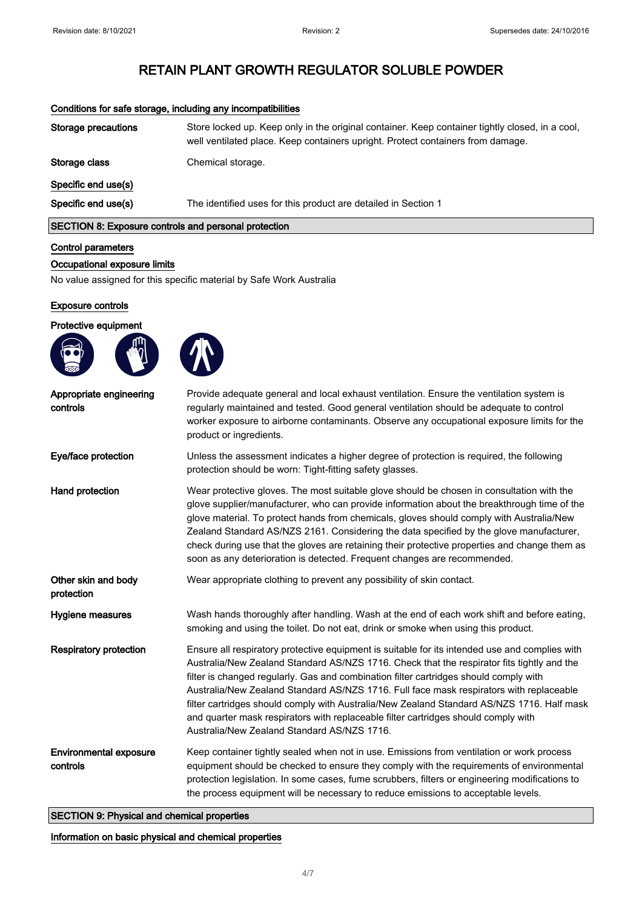| Storage precautions                                         | Store locked up. Keep only in the original container. Keep container tightly closed, in a cool,<br>well ventilated place. Keep containers upright. Protect containers from damage. |
|-------------------------------------------------------------|------------------------------------------------------------------------------------------------------------------------------------------------------------------------------------|
| Storage class                                               | Chemical storage.                                                                                                                                                                  |
| Specific end use(s)                                         |                                                                                                                                                                                    |
| Specific end use(s)                                         | The identified uses for this product are detailed in Section 1                                                                                                                     |
| <b>SECTION 8: Exposure controls and personal protection</b> |                                                                                                                                                                                    |

## Conditions for safe storage, including any incompatibilities

## Control parameters

## Occupational exposure limits

No value assigned for this specific material by Safe Work Australia

#### Exposure controls

## Protective equipment





| Appropriate engineering<br>controls       | Provide adequate general and local exhaust ventilation. Ensure the ventilation system is<br>regularly maintained and tested. Good general ventilation should be adequate to control<br>worker exposure to airborne contaminants. Observe any occupational exposure limits for the<br>product or ingredients.                                                                                                                                                                                                                                                                                                        |  |
|-------------------------------------------|---------------------------------------------------------------------------------------------------------------------------------------------------------------------------------------------------------------------------------------------------------------------------------------------------------------------------------------------------------------------------------------------------------------------------------------------------------------------------------------------------------------------------------------------------------------------------------------------------------------------|--|
| Eye/face protection                       | Unless the assessment indicates a higher degree of protection is required, the following<br>protection should be worn: Tight-fitting safety glasses.                                                                                                                                                                                                                                                                                                                                                                                                                                                                |  |
| Hand protection                           | Wear protective gloves. The most suitable glove should be chosen in consultation with the<br>glove supplier/manufacturer, who can provide information about the breakthrough time of the<br>glove material. To protect hands from chemicals, gloves should comply with Australia/New<br>Zealand Standard AS/NZS 2161. Considering the data specified by the glove manufacturer,<br>check during use that the gloves are retaining their protective properties and change them as<br>soon as any deterioration is detected. Frequent changes are recommended.                                                        |  |
| Other skin and body<br>protection         | Wear appropriate clothing to prevent any possibility of skin contact.                                                                                                                                                                                                                                                                                                                                                                                                                                                                                                                                               |  |
| <b>Hygiene measures</b>                   | Wash hands thoroughly after handling. Wash at the end of each work shift and before eating,<br>smoking and using the toilet. Do not eat, drink or smoke when using this product.                                                                                                                                                                                                                                                                                                                                                                                                                                    |  |
| <b>Respiratory protection</b>             | Ensure all respiratory protective equipment is suitable for its intended use and complies with<br>Australia/New Zealand Standard AS/NZS 1716. Check that the respirator fits tightly and the<br>filter is changed regularly. Gas and combination filter cartridges should comply with<br>Australia/New Zealand Standard AS/NZS 1716. Full face mask respirators with replaceable<br>filter cartridges should comply with Australia/New Zealand Standard AS/NZS 1716. Half mask<br>and quarter mask respirators with replaceable filter cartridges should comply with<br>Australia/New Zealand Standard AS/NZS 1716. |  |
| <b>Environmental exposure</b><br>controls | Keep container tightly sealed when not in use. Emissions from ventilation or work process<br>equipment should be checked to ensure they comply with the requirements of environmental<br>protection legislation. In some cases, fume scrubbers, filters or engineering modifications to<br>the process equipment will be necessary to reduce emissions to acceptable levels.                                                                                                                                                                                                                                        |  |

SECTION 9: Physical and chemical properties

Information on basic physical and chemical properties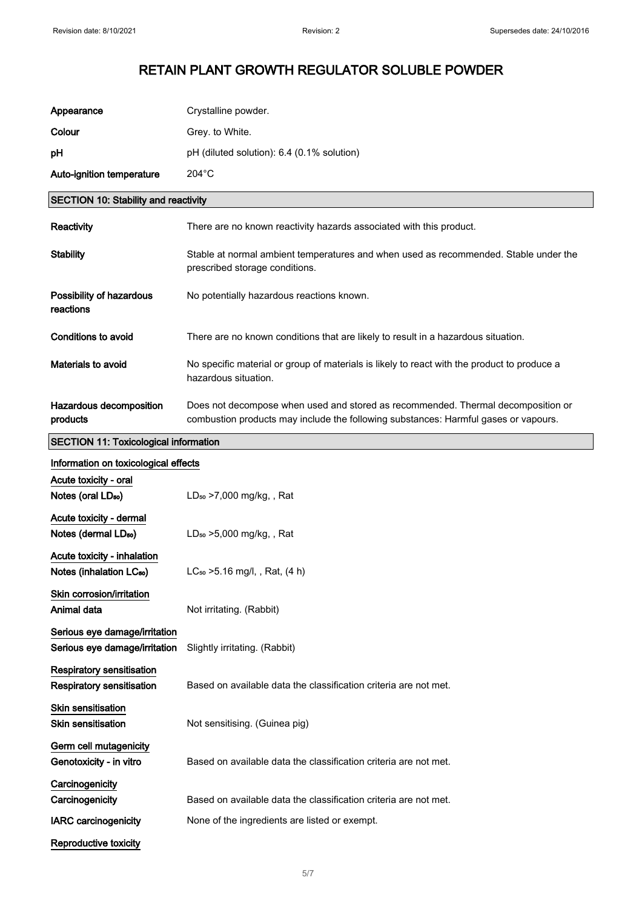| Appearance                                                           | Crystalline powder.                                                                                                                                                     |  |
|----------------------------------------------------------------------|-------------------------------------------------------------------------------------------------------------------------------------------------------------------------|--|
| Colour                                                               | Grey. to White.                                                                                                                                                         |  |
| рH                                                                   | pH (diluted solution): 6.4 (0.1% solution)                                                                                                                              |  |
| Auto-ignition temperature                                            | $204^{\circ}$ C                                                                                                                                                         |  |
| <b>SECTION 10: Stability and reactivity</b>                          |                                                                                                                                                                         |  |
| Reactivity                                                           | There are no known reactivity hazards associated with this product.                                                                                                     |  |
| <b>Stability</b>                                                     | Stable at normal ambient temperatures and when used as recommended. Stable under the<br>prescribed storage conditions.                                                  |  |
| Possibility of hazardous<br>reactions                                | No potentially hazardous reactions known.                                                                                                                               |  |
| <b>Conditions to avoid</b>                                           | There are no known conditions that are likely to result in a hazardous situation.                                                                                       |  |
| Materials to avoid                                                   | No specific material or group of materials is likely to react with the product to produce a<br>hazardous situation.                                                     |  |
| Hazardous decomposition<br>products                                  | Does not decompose when used and stored as recommended. Thermal decomposition or<br>combustion products may include the following substances: Harmful gases or vapours. |  |
| <b>SECTION 11: Toxicological information</b>                         |                                                                                                                                                                         |  |
| Information on toxicological effects                                 |                                                                                                                                                                         |  |
| Acute toxicity - oral<br>Notes (oral LD <sub>50</sub> )              | LD <sub>50</sub> >7,000 mg/kg,, Rat                                                                                                                                     |  |
| Acute toxicity - dermal<br>Notes (dermal LD <sub>50</sub> )          | LD <sub>50</sub> > 5,000 mg/kg, , Rat                                                                                                                                   |  |
| Acute toxicity - inhalation<br>Notes (inhalation LC <sub>50</sub> )  | $LC_{50}$ > 5.16 mg/l, , Rat, (4 h)                                                                                                                                     |  |
| Skin corrosion/irritation<br>Animal data                             | Not irritating. (Rabbit)                                                                                                                                                |  |
| Serious eye damage/irritation<br>Serious eye damage/irritation       | Slightly irritating. (Rabbit)                                                                                                                                           |  |
| <b>Respiratory sensitisation</b><br><b>Respiratory sensitisation</b> | Based on available data the classification criteria are not met.                                                                                                        |  |
| <b>Skin sensitisation</b><br><b>Skin sensitisation</b>               | Not sensitising. (Guinea pig)                                                                                                                                           |  |
| Germ cell mutagenicity<br>Genotoxicity - in vitro                    | Based on available data the classification criteria are not met.                                                                                                        |  |
| Carcinogenicity<br>Carcinogenicity                                   | Based on available data the classification criteria are not met.                                                                                                        |  |
| <b>IARC</b> carcinogenicity                                          | None of the ingredients are listed or exempt.                                                                                                                           |  |
| Reproductive toxicity                                                |                                                                                                                                                                         |  |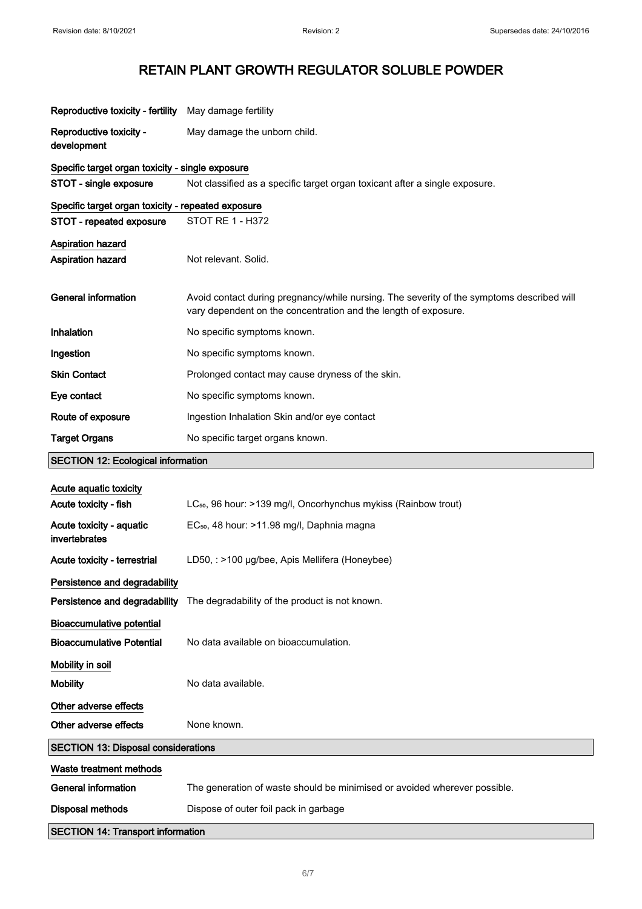| Reproductive toxicity - fertility                  | May damage fertility                                                                                                                                         |  |
|----------------------------------------------------|--------------------------------------------------------------------------------------------------------------------------------------------------------------|--|
| Reproductive toxicity -<br>development             | May damage the unborn child.                                                                                                                                 |  |
| Specific target organ toxicity - single exposure   |                                                                                                                                                              |  |
| STOT - single exposure                             | Not classified as a specific target organ toxicant after a single exposure.                                                                                  |  |
| Specific target organ toxicity - repeated exposure |                                                                                                                                                              |  |
| STOT - repeated exposure                           | STOT RE 1 - H372                                                                                                                                             |  |
| <b>Aspiration hazard</b>                           |                                                                                                                                                              |  |
| Aspiration hazard                                  | Not relevant. Solid.                                                                                                                                         |  |
| <b>General information</b>                         | Avoid contact during pregnancy/while nursing. The severity of the symptoms described will<br>vary dependent on the concentration and the length of exposure. |  |
| <b>Inhalation</b>                                  | No specific symptoms known.                                                                                                                                  |  |
| Ingestion                                          | No specific symptoms known.                                                                                                                                  |  |
| <b>Skin Contact</b>                                | Prolonged contact may cause dryness of the skin.                                                                                                             |  |
| Eye contact                                        | No specific symptoms known.                                                                                                                                  |  |
| Route of exposure                                  | Ingestion Inhalation Skin and/or eye contact                                                                                                                 |  |
| <b>Target Organs</b>                               | No specific target organs known.                                                                                                                             |  |
| <b>SECTION 12: Ecological information</b>          |                                                                                                                                                              |  |
| Acute aquatic toxicity                             |                                                                                                                                                              |  |
| Acute toxicity - fish                              | LC <sub>50</sub> , 96 hour: >139 mg/l, Oncorhynchus mykiss (Rainbow trout)                                                                                   |  |
| Acute toxicity - aquatic<br>invertebrates          | EC <sub>50</sub> , 48 hour: >11.98 mg/l, Daphnia magna                                                                                                       |  |
| Acute toxicity - terrestrial                       | LD50, : >100 µg/bee, Apis Mellifera (Honeybee)                                                                                                               |  |
| Persistence and degradability                      |                                                                                                                                                              |  |
| Persistence and degradability                      | The degradability of the product is not known.                                                                                                               |  |
| <b>Bioaccumulative potential</b>                   |                                                                                                                                                              |  |
| <b>Bioaccumulative Potential</b>                   | No data available on bioaccumulation.                                                                                                                        |  |
| Mobility in soil                                   |                                                                                                                                                              |  |
| <b>Mobility</b>                                    | No data available.                                                                                                                                           |  |
| Other adverse effects                              |                                                                                                                                                              |  |
| Other adverse effects                              | None known.                                                                                                                                                  |  |
| <b>SECTION 13: Disposal considerations</b>         |                                                                                                                                                              |  |
| Waste treatment methods                            |                                                                                                                                                              |  |
| <b>General information</b>                         | The generation of waste should be minimised or avoided wherever possible.                                                                                    |  |
| <b>Disposal methods</b>                            | Dispose of outer foil pack in garbage                                                                                                                        |  |
| <b>SECTION 14: Transport information</b>           |                                                                                                                                                              |  |